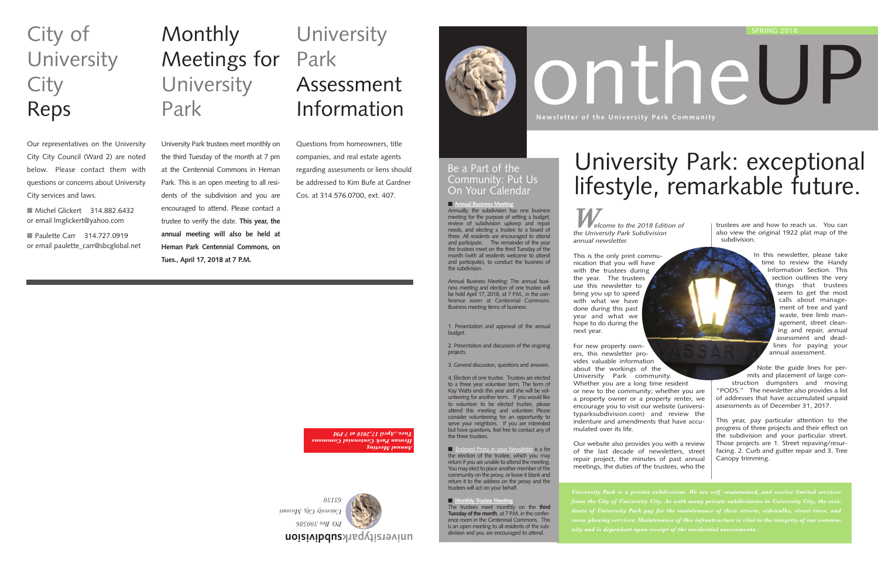*Welcome to the 2018 Edition of the University Park Subdivision annual newsletter.* 

This is the only print communication that you will have with the trustees during the year. The trustees use this newsletter to bring you up to speed with what we have done during this past year and what we hope to do during the next year.

For new property owners, this newsletter provides valuable information about the workings of the University Park community. Whether you are a long time resident or new to the community; whether you are a property owner or a property renter, we encourage you to visit our website (universityparksubdivision.com) and review the indenture and amendments that have accumulated over its life.

Our website also provides you with a review of the last decade of newsletters, street repair project, the minutes of past annual meetings, the duties of the trustees, who the



# **Monthly** Meetings for **University** Park

trustees are and how to reach us. You can also view the original 1922 plat map of the subdivision.

■ Michel Glickert 314.882.6432 or email lmglickert@yahoo.com

■ Paulette Carr 314.727.0919 or email paulette\_carr@sbcglobal.net

# **University** Park Assessment Information

In this newsletter, please take time to review the Handy Information Section. This section outlines the very things that trustees seem to get the most calls about management of tree and yard waste, tree limb management, street cleaning and repair, annual assessment and deadlines for paying your annual assessment.

Note the guide lines for permits and placement of large construction dumpsters and moving "PODS." The newsletter also provides a list of addresses that have accumulated unpaid assessments as of December 31, 2017.

■ **Annual Business Meeting** Annually, the subdivision has one business meeting for the purpose of setting a budget, review of subdivision upkeep and repair needs, and electing a trustee to a board of three. All residents are encouraged to attend and participate. The remainder of the year the trustees meet on the third Tuesday of the month (with all residents welcome to attend and participate), to conduct the business of the subdivision.

> This year, pay particular attention to the progress of three projects and their effect on the subdivision and your particular street. Those projects are 1. Street repaving/resurfacing. 2. Curb and gutter repair and 3. Tree Canopy trimming.

**subdivision universitypark**



■ Enclosed Proxy in your Newsletter is a for the election of the trustee, which you may return if you are unable to attend the meeting. You may elect to place another member of the community on the proxy, or leave it blank and return it to the address on the proxy and the trustees will act on your behalf.

University Park trustees meet monthly on the third Tuesday of the month at 7 pm at the Centennial Commons in Heman Park. This is an open meeting to all residents of the subdivision and you are encouraged to attend. Please contact a trustee to verify the date. **This year, the annual meeting will also be held at Heman Park Centennial Commons, on**

**Tues., April 17, 2018 at 7 P.M.**

# City of **University City** Reps

Our representatives on the University City City Council (Ward 2) are noted below. Please contact them with questions or concerns about University City services and laws.

Questions from homeowners, title companies, and real estate agents regarding assessments or liens should be addressed to Kim Bufe at Gardner Cos. at 314.576.0700, ext. 407.



Annual Business Meeting: The annual business meeting and election of one trustee will be held April 17, 2018, at 7 P.M., in the conference room at Centennial Commons. Business meeting items of business:

1. Presentation and approval of the annual budget.

2. Presentation and discussion of the ongoing projects.

3. General discussion, questions and answers.

4. Election of one trustee. Trustees are elected to a three year volunteer term. The term of Kay Watts ends this year and she will be volunteering for another term. If you would like to volunteer to be elected trustee, please attend this meeting and volunteer. Please consider volunteering for an opportunity to serve your neighbors. If you are interested but have questions, feel free to contact any of the three trustees.

■ **Monthly Trustee Meeting**

The trustees meet monthly on the **third Tuesday of the month**, at 7 P.M. in the conference room in the Centennial Commons. This is an open meeting to all residents of the subdivision and you are encouraged to attend.



# University Park: exceptional lifestyle, remarkable future.

### Be a Part of the Community: Put Us On Your Calendar